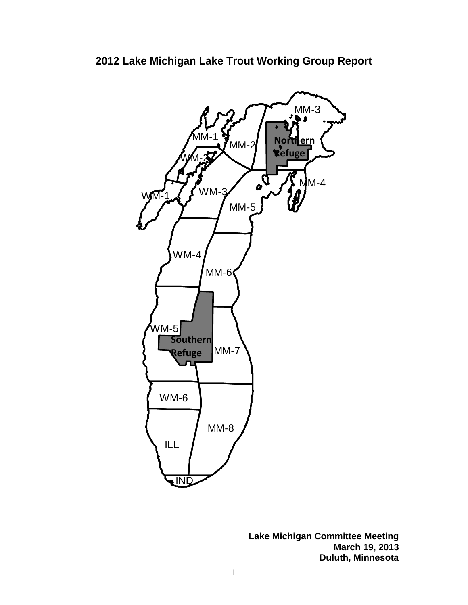

**Lake Michigan Committee Meeting March 19, 2013 Duluth, Minnesota**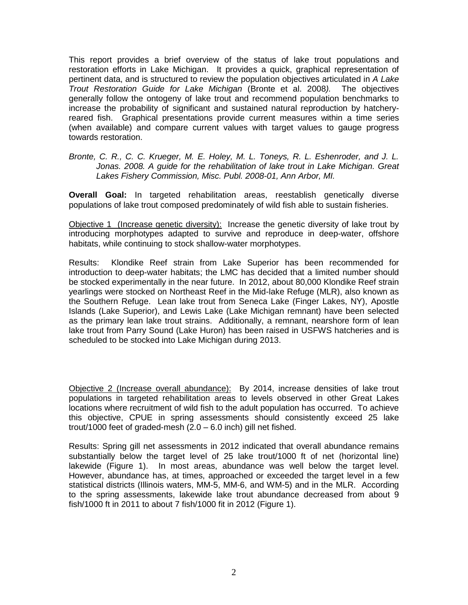This report provides a brief overview of the status of lake trout populations and restoration efforts in Lake Michigan. It provides a quick, graphical representation of pertinent data, and is structured to review the population objectives articulated in *A Lake Trout Restoration Guide for Lake Michigan* (Bronte et al. 2008*).* The objectives generally follow the ontogeny of lake trout and recommend population benchmarks to increase the probability of significant and sustained natural reproduction by hatcheryreared fish. Graphical presentations provide current measures within a time series (when available) and compare current values with target values to gauge progress towards restoration.

#### *Bronte, C. R., C. C. Krueger, M. E. Holey, M. L. Toneys, R. L. Eshenroder, and J. L. Jonas. 2008. A guide for the rehabilitation of lake trout in Lake Michigan. Great Lakes Fishery Commission, Misc. Publ. 2008-01, Ann Arbor, MI.*

**Overall Goal:** In targeted rehabilitation areas, reestablish genetically diverse populations of lake trout composed predominately of wild fish able to sustain fisheries.

Objective 1 (Increase genetic diversity): Increase the genetic diversity of lake trout by introducing morphotypes adapted to survive and reproduce in deep-water, offshore habitats, while continuing to stock shallow-water morphotypes.

Results: Klondike Reef strain from Lake Superior has been recommended for introduction to deep-water habitats; the LMC has decided that a limited number should be stocked experimentally in the near future. In 2012, about 80,000 Klondike Reef strain yearlings were stocked on Northeast Reef in the Mid-lake Refuge (MLR), also known as the Southern Refuge. Lean lake trout from Seneca Lake (Finger Lakes, NY), Apostle Islands (Lake Superior), and Lewis Lake (Lake Michigan remnant) have been selected as the primary lean lake trout strains. Additionally, a remnant, nearshore form of lean lake trout from Parry Sound (Lake Huron) has been raised in USFWS hatcheries and is scheduled to be stocked into Lake Michigan during 2013.

Objective 2 (Increase overall abundance): By 2014, increase densities of lake trout populations in targeted rehabilitation areas to levels observed in other Great Lakes locations where recruitment of wild fish to the adult population has occurred. To achieve this objective, CPUE in spring assessments should consistently exceed 25 lake trout/1000 feet of graded-mesh (2.0 – 6.0 inch) gill net fished.

Results: Spring gill net assessments in 2012 indicated that overall abundance remains substantially below the target level of 25 lake trout/1000 ft of net (horizontal line) lakewide (Figure 1). In most areas, abundance was well below the target level. However, abundance has, at times, approached or exceeded the target level in a few statistical districts (Illinois waters, MM-5, MM-6, and WM-5) and in the MLR. According to the spring assessments, lakewide lake trout abundance decreased from about 9 fish/1000 ft in 2011 to about 7 fish/1000 fit in 2012 (Figure 1).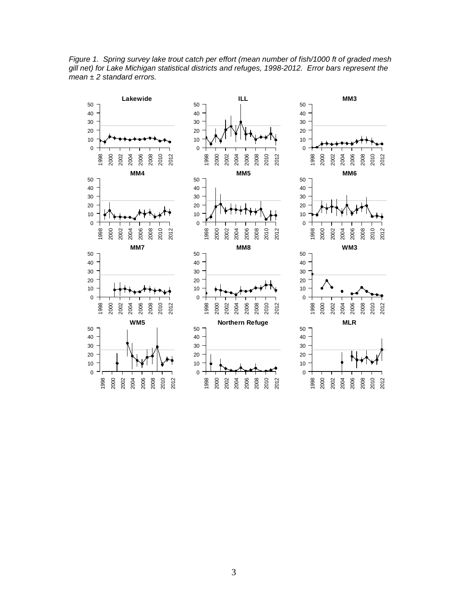

*Figure 1. Spring survey lake trout catch per effort (mean number of fish/1000 ft of graded mesh gill net) for Lake Michigan statistical districts and refuges, 1998-2012. Error bars represent the mean ± 2 standard errors.*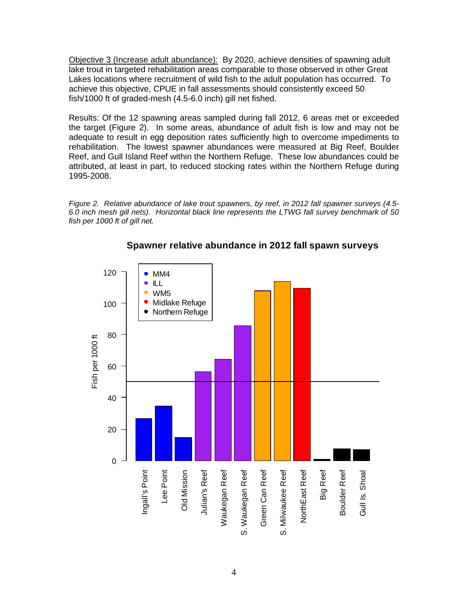Objective 3 (Increase adult abundance): By 2020, achieve densities of spawning adult lake trout in targeted rehabilitation areas comparable to those observed in other Great Lakes locations where recruitment of wild fish to the adult population has occurred. To achieve this objective, CPUE in fall assessments should consistently exceed 50 fish/1000 ft of graded-mesh (4.5-6.0 inch) gill net fished.

Results: Of the 12 spawning areas sampled during fall 2012, 6 areas met or exceeded the target (Figure 2). In some areas, abundance of adult fish is low and may not be adequate to result in egg deposition rates sufficiently high to overcome impediments to rehabilitation. The lowest spawner abundances were measured at Big Reef, Boulder Reef, and Gull Island Reef within the Northern Refuge. These low abundances could be attributed, at least in part, to reduced stocking rates within the Northern Refuge during 1995-2008.

*Figure 2. Relative abundance of lake trout spawners, by reef, in 2012 fall spawner surveys (4.5- 6.0 inch mesh gill nets). Horizontal black line represents the LTWG fall survey benchmark of 50 fish per 1000 ft of gill net.*



### **Spawner relative abundance in 2012 fall spawn surveys**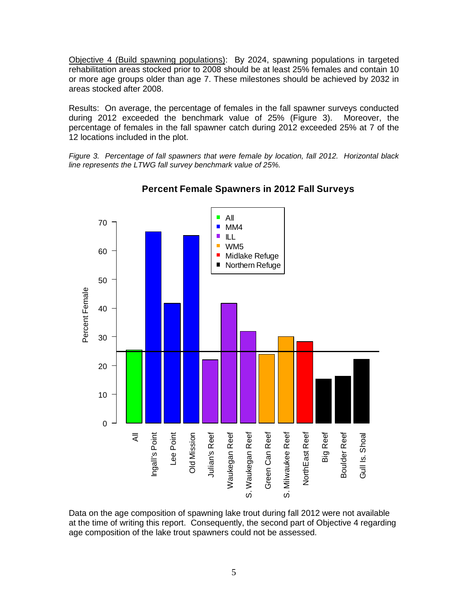Objective 4 (Build spawning populations): By 2024, spawning populations in targeted rehabilitation areas stocked prior to 2008 should be at least 25% females and contain 10 or more age groups older than age 7. These milestones should be achieved by 2032 in areas stocked after 2008.

Results: On average, the percentage of females in the fall spawner surveys conducted during 2012 exceeded the benchmark value of 25% (Figure 3). Moreover, the percentage of females in the fall spawner catch during 2012 exceeded 25% at 7 of the 12 locations included in the plot.

*Figure 3. Percentage of fall spawners that were female by location, fall 2012. Horizontal black line represents the LTWG fall survey benchmark value of 25%.* 



## **Percent Female Spawners in 2012 Fall Surveys**

Data on the age composition of spawning lake trout during fall 2012 were not available at the time of writing this report. Consequently, the second part of Objective 4 regarding age composition of the lake trout spawners could not be assessed.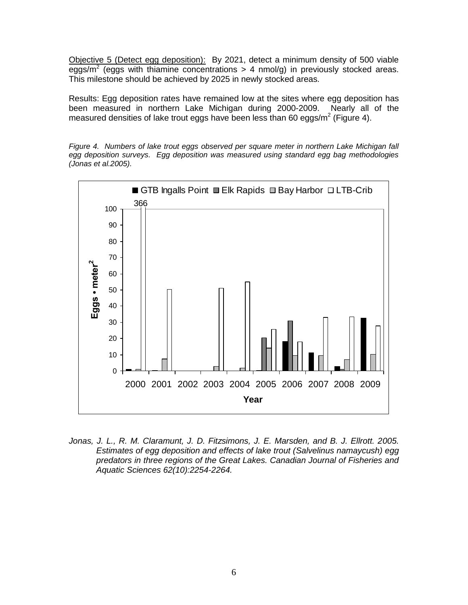Objective 5 (Detect egg deposition): By 2021, detect a minimum density of 500 viable eggs/m<sup>2</sup> (eggs with thiamine concentrations > 4 nmol/g) in previously stocked areas. This milestone should be achieved by 2025 in newly stocked areas.

Results: Egg deposition rates have remained low at the sites where egg deposition has been measured in northern Lake Michigan during 2000-2009. Nearly all of the measured densities of lake trout eggs have been less than 60 eggs/m<sup>2</sup> (Figure 4).

*Figure 4. Numbers of lake trout eggs observed per square meter in northern Lake Michigan fall egg deposition surveys. Egg deposition was measured using standard egg bag methodologies (Jonas et al.2005).*



Jonas, J. L., R. M. Claramunt, J. D. Fitzsimons, J. E. Marsden, and B. J. Ellrott. 2005. *Estimates of egg deposition and effects of lake trout (Salvelinus namaycush) egg predators in three regions of the Great Lakes. Canadian Journal of Fisheries and Aquatic Sciences 62(10):2254-2264.*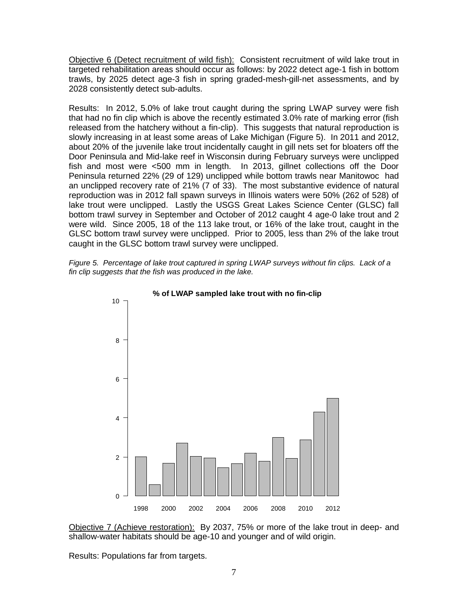Objective 6 (Detect recruitment of wild fish): Consistent recruitment of wild lake trout in targeted rehabilitation areas should occur as follows: by 2022 detect age-1 fish in bottom trawls, by 2025 detect age-3 fish in spring graded-mesh-gill-net assessments, and by 2028 consistently detect sub-adults.

Results: In 2012, 5.0% of lake trout caught during the spring LWAP survey were fish that had no fin clip which is above the recently estimated 3.0% rate of marking error (fish released from the hatchery without a fin-clip). This suggests that natural reproduction is slowly increasing in at least some areas of Lake Michigan (Figure 5). In 2011 and 2012, about 20% of the juvenile lake trout incidentally caught in gill nets set for bloaters off the Door Peninsula and Mid-lake reef in Wisconsin during February surveys were unclipped fish and most were <500 mm in length. In 2013, gillnet collections off the Door Peninsula returned 22% (29 of 129) unclipped while bottom trawls near Manitowoc had an unclipped recovery rate of 21% (7 of 33). The most substantive evidence of natural reproduction was in 2012 fall spawn surveys in Illinois waters were 50% (262 of 528) of lake trout were unclipped. Lastly the USGS Great Lakes Science Center (GLSC) fall bottom trawl survey in September and October of 2012 caught 4 age-0 lake trout and 2 were wild. Since 2005, 18 of the 113 lake trout, or 16% of the lake trout, caught in the GLSC bottom trawl survey were unclipped. Prior to 2005, less than 2% of the lake trout caught in the GLSC bottom trawl survey were unclipped.





Objective 7 (Achieve restoration): By 2037, 75% or more of the lake trout in deep- and shallow-water habitats should be age-10 and younger and of wild origin.

Results: Populations far from targets.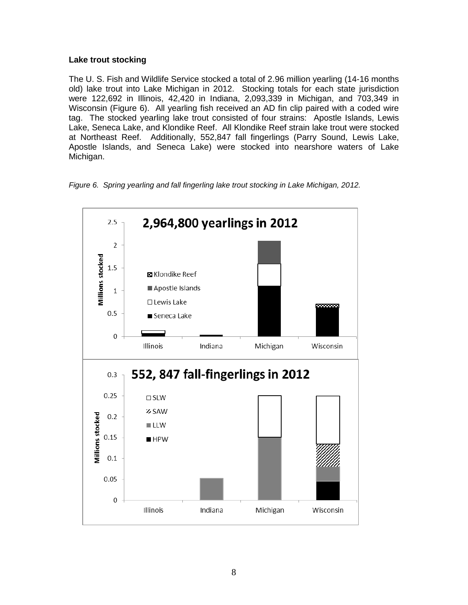### **Lake trout stocking**

The U. S. Fish and Wildlife Service stocked a total of 2.96 million yearling (14-16 months old) lake trout into Lake Michigan in 2012. Stocking totals for each state jurisdiction were 122,692 in Illinois, 42,420 in Indiana, 2,093,339 in Michigan, and 703,349 in Wisconsin (Figure 6). All yearling fish received an AD fin clip paired with a coded wire tag. The stocked yearling lake trout consisted of four strains: Apostle Islands, Lewis Lake, Seneca Lake, and Klondike Reef. All Klondike Reef strain lake trout were stocked at Northeast Reef. Additionally, 552,847 fall fingerlings (Parry Sound, Lewis Lake, Apostle Islands, and Seneca Lake) were stocked into nearshore waters of Lake Michigan.